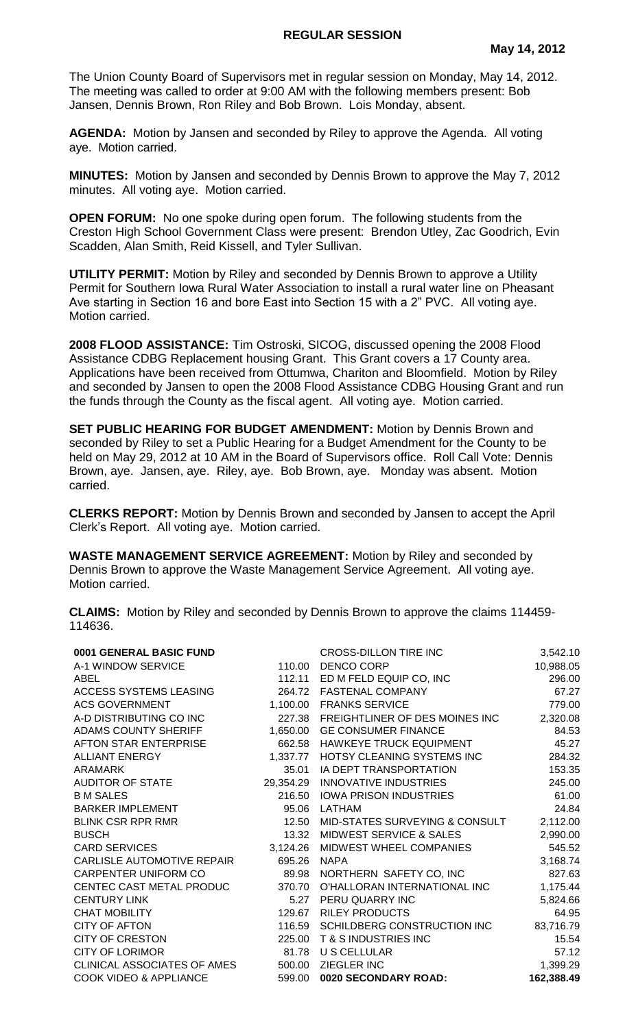## **REGULAR SESSION**

The Union County Board of Supervisors met in regular session on Monday, May 14, 2012. The meeting was called to order at 9:00 AM with the following members present: Bob Jansen, Dennis Brown, Ron Riley and Bob Brown. Lois Monday, absent.

**AGENDA:** Motion by Jansen and seconded by Riley to approve the Agenda. All voting aye. Motion carried.

**MINUTES:** Motion by Jansen and seconded by Dennis Brown to approve the May 7, 2012 minutes. All voting aye. Motion carried.

**OPEN FORUM:** No one spoke during open forum. The following students from the Creston High School Government Class were present: Brendon Utley, Zac Goodrich, Evin Scadden, Alan Smith, Reid Kissell, and Tyler Sullivan.

**UTILITY PERMIT:** Motion by Riley and seconded by Dennis Brown to approve a Utility Permit for Southern Iowa Rural Water Association to install a rural water line on Pheasant Ave starting in Section 16 and bore East into Section 15 with a 2" PVC. All voting aye. Motion carried.

**2008 FLOOD ASSISTANCE:** Tim Ostroski, SICOG, discussed opening the 2008 Flood Assistance CDBG Replacement housing Grant. This Grant covers a 17 County area. Applications have been received from Ottumwa, Chariton and Bloomfield. Motion by Riley and seconded by Jansen to open the 2008 Flood Assistance CDBG Housing Grant and run the funds through the County as the fiscal agent. All voting aye. Motion carried.

**SET PUBLIC HEARING FOR BUDGET AMENDMENT:** Motion by Dennis Brown and seconded by Riley to set a Public Hearing for a Budget Amendment for the County to be held on May 29, 2012 at 10 AM in the Board of Supervisors office. Roll Call Vote: Dennis Brown, aye. Jansen, aye. Riley, aye. Bob Brown, aye. Monday was absent. Motion carried.

**CLERKS REPORT:** Motion by Dennis Brown and seconded by Jansen to accept the April Clerk's Report. All voting aye. Motion carried.

**WASTE MANAGEMENT SERVICE AGREEMENT:** Motion by Riley and seconded by Dennis Brown to approve the Waste Management Service Agreement. All voting aye. Motion carried.

**CLAIMS:** Motion by Riley and seconded by Dennis Brown to approve the claims 114459- 114636.

| 0001 GENERAL BASIC FUND           |           | <b>CROSS-DILLON TIRE INC</b>              | 3,542.10   |
|-----------------------------------|-----------|-------------------------------------------|------------|
| A-1 WINDOW SERVICE                | 110.00    | DENCO CORP                                | 10,988.05  |
| ABEL                              | 112.11    | ED M FELD EQUIP CO, INC                   | 296.00     |
| <b>ACCESS SYSTEMS LEASING</b>     | 264.72    | <b>FASTENAL COMPANY</b>                   | 67.27      |
| <b>ACS GOVERNMENT</b>             | 1,100.00  | <b>FRANKS SERVICE</b>                     | 779.00     |
| A-D DISTRIBUTING CO INC           | 227.38    | FREIGHTLINER OF DES MOINES INC            | 2,320.08   |
| ADAMS COUNTY SHERIFF              | 1,650.00  | <b>GE CONSUMER FINANCE</b>                | 84.53      |
| AFTON STAR ENTERPRISE             | 662.58    | <b>HAWKEYE TRUCK EQUIPMENT</b>            | 45.27      |
| <b>ALLIANT ENERGY</b>             | 1,337.77  | HOTSY CLEANING SYSTEMS INC                | 284.32     |
| <b>ARAMARK</b>                    | 35.01     | IA DEPT TRANSPORTATION                    | 153.35     |
| <b>AUDITOR OF STATE</b>           | 29,354.29 | <b>INNOVATIVE INDUSTRIES</b>              | 245.00     |
| <b>B M SALES</b>                  | 216.50    | <b>IOWA PRISON INDUSTRIES</b>             | 61.00      |
| <b>BARKER IMPLEMENT</b>           | 95.06     | LATHAM                                    | 24.84      |
| <b>BLINK CSR RPR RMR</b>          | 12.50     | <b>MID-STATES SURVEYING &amp; CONSULT</b> | 2,112.00   |
| <b>BUSCH</b>                      | 13.32     | <b>MIDWEST SERVICE &amp; SALES</b>        | 2,990.00   |
| <b>CARD SERVICES</b>              | 3,124.26  | MIDWEST WHEEL COMPANIES                   | 545.52     |
| CARLISLE AUTOMOTIVE REPAIR        | 695.26    | <b>NAPA</b>                               | 3,168.74   |
| <b>CARPENTER UNIFORM CO</b>       | 89.98     | NORTHERN SAFETY CO, INC                   | 827.63     |
| CENTEC CAST METAL PRODUC          | 370.70    | O'HALLORAN INTERNATIONAL INC              | 1,175.44   |
| <b>CENTURY LINK</b>               | 5.27      | PERU QUARRY INC                           | 5,824.66   |
| <b>CHAT MOBILITY</b>              | 129.67    | <b>RILEY PRODUCTS</b>                     | 64.95      |
| <b>CITY OF AFTON</b>              | 116.59    | SCHILDBERG CONSTRUCTION INC               | 83,716.79  |
| <b>CITY OF CRESTON</b>            | 225.00    | <b>T &amp; S INDUSTRIES INC</b>           | 15.54      |
| <b>CITY OF LORIMOR</b>            | 81.78     | U S CELLULAR                              | 57.12      |
| CLINICAL ASSOCIATES OF AMES       | 500.00    | ZIEGLER INC                               | 1,399.29   |
| <b>COOK VIDEO &amp; APPLIANCE</b> | 599.00    | 0020 SECONDARY ROAD:                      | 162,388.49 |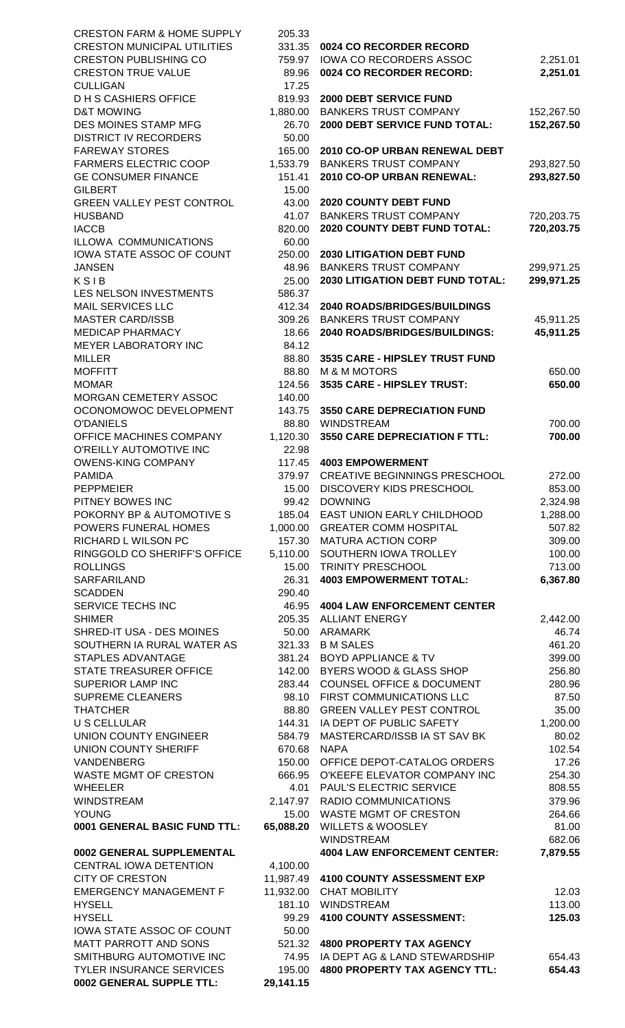| <b>CRESTON FARM &amp; HOME SUPPLY</b>              | 205.33            |                                                                  |                          |
|----------------------------------------------------|-------------------|------------------------------------------------------------------|--------------------------|
| <b>CRESTON MUNICIPAL UTILITIES</b>                 | 331.35            | 0024 CO RECORDER RECORD                                          |                          |
| <b>CRESTON PUBLISHING CO</b>                       | 759.97            | IOWA CO RECORDERS ASSOC                                          | 2,251.01                 |
| <b>CRESTON TRUE VALUE</b>                          | 89.96             | 0024 CO RECORDER RECORD:                                         | 2,251.01                 |
| <b>CULLIGAN</b><br><b>DHS CASHIERS OFFICE</b>      | 17.25<br>819.93   | 2000 DEBT SERVICE FUND                                           |                          |
| <b>D&amp;T MOWING</b>                              | 1,880.00          | <b>BANKERS TRUST COMPANY</b>                                     | 152,267.50               |
| DES MOINES STAMP MFG                               | 26.70             | 2000 DEBT SERVICE FUND TOTAL:                                    | 152,267.50               |
| <b>DISTRICT IV RECORDERS</b>                       | 50.00             |                                                                  |                          |
| <b>FAREWAY STORES</b>                              | 165.00            | 2010 CO-OP URBAN RENEWAL DEBT                                    |                          |
| <b>FARMERS ELECTRIC COOP</b>                       | 1,533.79          | <b>BANKERS TRUST COMPANY</b>                                     | 293,827.50               |
| <b>GE CONSUMER FINANCE</b>                         | 151.41            | 2010 CO-OP URBAN RENEWAL:                                        | 293,827.50               |
| <b>GILBERT</b>                                     | 15.00             |                                                                  |                          |
| <b>GREEN VALLEY PEST CONTROL</b>                   | 43.00             | <b>2020 COUNTY DEBT FUND</b>                                     |                          |
| <b>HUSBAND</b>                                     | 41.07             | <b>BANKERS TRUST COMPANY</b>                                     | 720,203.75               |
| <b>IACCB</b>                                       | 820.00            | 2020 COUNTY DEBT FUND TOTAL:                                     | 720,203.75               |
| ILLOWA COMMUNICATIONS                              | 60.00             |                                                                  |                          |
| IOWA STATE ASSOC OF COUNT                          | 250.00<br>48.96   | <b>2030 LITIGATION DEBT FUND</b><br><b>BANKERS TRUST COMPANY</b> |                          |
| <b>JANSEN</b><br>KSIB                              | 25.00             | <b>2030 LITIGATION DEBT FUND TOTAL:</b>                          | 299,971.25<br>299,971.25 |
| LES NELSON INVESTMENTS                             | 586.37            |                                                                  |                          |
| <b>MAIL SERVICES LLC</b>                           | 412.34            | 2040 ROADS/BRIDGES/BUILDINGS                                     |                          |
| <b>MASTER CARD/ISSB</b>                            | 309.26            | <b>BANKERS TRUST COMPANY</b>                                     | 45,911.25                |
| <b>MEDICAP PHARMACY</b>                            | 18.66             | 2040 ROADS/BRIDGES/BUILDINGS:                                    | 45,911.25                |
| MEYER LABORATORY INC                               | 84.12             |                                                                  |                          |
| <b>MILLER</b>                                      | 88.80             | 3535 CARE - HIPSLEY TRUST FUND                                   |                          |
| <b>MOFFITT</b>                                     | 88.80             | <b>M &amp; M MOTORS</b>                                          | 650.00                   |
| <b>MOMAR</b>                                       | 124.56            | 3535 CARE - HIPSLEY TRUST:                                       | 650.00                   |
| MORGAN CEMETERY ASSOC                              | 140.00            |                                                                  |                          |
| OCONOMOWOC DEVELOPMENT                             | 143.75            | <b>3550 CARE DEPRECIATION FUND</b>                               |                          |
| <b>O'DANIELS</b>                                   | 88.80             | <b>WINDSTREAM</b>                                                | 700.00                   |
| OFFICE MACHINES COMPANY<br>O'REILLY AUTOMOTIVE INC | 1,120.30<br>22.98 | 3550 CARE DEPRECIATION F TTL:                                    | 700.00                   |
| <b>OWENS-KING COMPANY</b>                          | 117.45            | <b>4003 EMPOWERMENT</b>                                          |                          |
| <b>PAMIDA</b>                                      | 379.97            | <b>CREATIVE BEGINNINGS PRESCHOOL</b>                             | 272.00                   |
| <b>PEPPMEIER</b>                                   | 15.00             | <b>DISCOVERY KIDS PRESCHOOL</b>                                  | 853.00                   |
| PITNEY BOWES INC                                   | 99.42             | <b>DOWNING</b>                                                   | 2,324.98                 |
| POKORNY BP & AUTOMOTIVE S                          | 185.04            | EAST UNION EARLY CHILDHOOD                                       | 1,288.00                 |
| POWERS FUNERAL HOMES                               | 1,000.00          | <b>GREATER COMM HOSPITAL</b>                                     | 507.82                   |
| RICHARD L WILSON PC                                | 157.30            | <b>MATURA ACTION CORP</b>                                        | 309.00                   |
| RINGGOLD CO SHERIFF'S OFFICE                       | 5,110.00          | SOUTHERN IOWA TROLLEY                                            | 100.00                   |
| <b>ROLLINGS</b>                                    | 15.00             | TRINITY PRESCHOOL                                                | 713.00                   |
| SARFARILAND                                        | 26.31             | <b>4003 EMPOWERMENT TOTAL:</b>                                   | 6,367.80                 |
| <b>SCADDEN</b>                                     | 290.40            |                                                                  |                          |
| SERVICE TECHS INC<br><b>SHIMER</b>                 | 46.95             | <b>4004 LAW ENFORCEMENT CENTER</b><br>205.35 ALLIANT ENERGY      | 2,442.00                 |
| SHRED-IT USA - DES MOINES                          |                   | 50.00 ARAMARK                                                    | 46.74                    |
| SOUTHERN IA RURAL WATER AS                         | 321.33            | <b>B M SALES</b>                                                 | 461.20                   |
| STAPLES ADVANTAGE                                  | 381.24            | <b>BOYD APPLIANCE &amp; TV</b>                                   | 399.00                   |
| STATE TREASURER OFFICE                             | 142.00            | BYERS WOOD & GLASS SHOP                                          | 256.80                   |
| SUPERIOR LAMP INC                                  | 283.44            | <b>COUNSEL OFFICE &amp; DOCUMENT</b>                             | 280.96                   |
| <b>SUPREME CLEANERS</b>                            | 98.10             | FIRST COMMUNICATIONS LLC                                         | 87.50                    |
| <b>THATCHER</b>                                    | 88.80             | <b>GREEN VALLEY PEST CONTROL</b>                                 | 35.00                    |
| <b>U S CELLULAR</b>                                | 144.31            | IA DEPT OF PUBLIC SAFETY                                         | 1,200.00                 |
| UNION COUNTY ENGINEER                              | 584.79            | MASTERCARD/ISSB IA ST SAV BK                                     | 80.02                    |
| <b>UNION COUNTY SHERIFF</b>                        | 670.68            | <b>NAPA</b>                                                      | 102.54                   |
| VANDENBERG<br>WASTE MGMT OF CRESTON                | 150.00<br>666.95  | OFFICE DEPOT-CATALOG ORDERS<br>O'KEEFE ELEVATOR COMPANY INC      | 17.26<br>254.30          |
| <b>WHEELER</b>                                     | 4.01              | PAUL'S ELECTRIC SERVICE                                          | 808.55                   |
| <b>WINDSTREAM</b>                                  | 2,147.97          | <b>RADIO COMMUNICATIONS</b>                                      | 379.96                   |
| <b>YOUNG</b>                                       | 15.00             | WASTE MGMT OF CRESTON                                            | 264.66                   |
| 0001 GENERAL BASIC FUND TTL:                       | 65,088.20         | <b>WILLETS &amp; WOOSLEY</b>                                     | 81.00                    |
|                                                    |                   | WINDSTREAM                                                       | 682.06                   |
| 0002 GENERAL SUPPLEMENTAL                          |                   | <b>4004 LAW ENFORCEMENT CENTER:</b>                              | 7,879.55                 |
| CENTRAL IOWA DETENTION                             | 4,100.00          |                                                                  |                          |
| <b>CITY OF CRESTON</b>                             |                   | 11,987.49 4100 COUNTY ASSESSMENT EXP                             |                          |
| <b>EMERGENCY MANAGEMENT F</b>                      |                   | 11,932.00 CHAT MOBILITY                                          | 12.03                    |
| <b>HYSELL</b><br><b>HYSELL</b>                     | 181.10            | <b>WINDSTREAM</b>                                                | 113.00                   |
| IOWA STATE ASSOC OF COUNT                          | 99.29<br>50.00    | 4100 COUNTY ASSESSMENT:                                          | 125.03                   |
| MATT PARROTT AND SONS                              |                   | 521.32 4800 PROPERTY TAX AGENCY                                  |                          |
| SMITHBURG AUTOMOTIVE INC                           |                   | 74.95 IA DEPT AG & LAND STEWARDSHIP                              | 654.43                   |
| <b>TYLER INSURANCE SERVICES</b>                    | 195.00            | <b>4800 PROPERTY TAX AGENCY TTL:</b>                             | 654.43                   |
| 0002 GENERAL SUPPLE TTL:                           | 29,141.15         |                                                                  |                          |
|                                                    |                   |                                                                  |                          |

| 0024 CO RECORDER RECORD<br><b>IOWA CO RECORDERS ASSOC</b><br>0024 CO RECORDER RECORD:                                                                                                                                                                                                                                                                                                                                                                                                                                                                                                                      | 2,251.01<br>2,251.01                                                                                                                                                                       |
|------------------------------------------------------------------------------------------------------------------------------------------------------------------------------------------------------------------------------------------------------------------------------------------------------------------------------------------------------------------------------------------------------------------------------------------------------------------------------------------------------------------------------------------------------------------------------------------------------------|--------------------------------------------------------------------------------------------------------------------------------------------------------------------------------------------|
| <b>2000 DEBT SERVICE FUND</b><br><b>BANKERS TRUST COMPANY</b><br><b>2000 DEBT SERVICE FUND TOTAL:</b>                                                                                                                                                                                                                                                                                                                                                                                                                                                                                                      | 152,267.50<br>152,267.50                                                                                                                                                                   |
| <b>2010 CO-OP URBAN RENEWAL DEBT</b><br><b>BANKERS TRUST COMPANY</b><br><b>2010 CO-OP URBAN RENEWAL:</b>                                                                                                                                                                                                                                                                                                                                                                                                                                                                                                   | 293,827.50<br>293,827.50                                                                                                                                                                   |
| <b>2020 COUNTY DEBT FUND</b><br><b>BANKERS TRUST COMPANY</b><br><b>2020 COUNTY DEBT FUND TOTAL:</b>                                                                                                                                                                                                                                                                                                                                                                                                                                                                                                        | 720,203.75<br>720,203.75                                                                                                                                                                   |
| <b>2030 LITIGATION DEBT FUND</b><br><b>BANKERS TRUST COMPANY</b><br><b>2030 LITIGATION DEBT FUND TOTAL:</b>                                                                                                                                                                                                                                                                                                                                                                                                                                                                                                | 299,971.25<br>299,971.25                                                                                                                                                                   |
| <b>2040 ROADS/BRIDGES/BUILDINGS</b><br><b>BANKERS TRUST COMPANY</b><br>2040 ROADS/BRIDGES/BUILDINGS:                                                                                                                                                                                                                                                                                                                                                                                                                                                                                                       | 45,911.25<br>45,911.25                                                                                                                                                                     |
| 3535 CARE - HIPSLEY TRUST FUND<br>M & M MOTORS<br>3535 CARE - HIPSLEY TRUST:                                                                                                                                                                                                                                                                                                                                                                                                                                                                                                                               | 650.00<br>650.00                                                                                                                                                                           |
| <b>3550 CARE DEPRECIATION FUND</b><br><b>WINDSTREAM</b><br><b>3550 CARE DEPRECIATION F TTL:</b>                                                                                                                                                                                                                                                                                                                                                                                                                                                                                                            | 700.00<br>700.00                                                                                                                                                                           |
| <b>4003 EMPOWERMENT</b><br>CREATIVE BEGINNINGS PRESCHOOL<br>DISCOVERY KIDS PRESCHOOL<br><b>DOWNING</b><br>EAST UNION EARLY CHILDHOOD<br><b>GREATER COMM HOSPITAL</b><br><b>MATURA ACTION CORP</b><br>SOUTHERN IOWA TROLLEY<br><b>TRINITY PRESCHOOL</b><br><b>4003 EMPOWERMENT TOTAL:</b>                                                                                                                                                                                                                                                                                                                   | 272.00<br>853.00<br>2,324.98<br>1,288.00<br>507.82<br>309.00<br>100.00<br>713.00<br>6,367.80                                                                                               |
| <b>4004 LAW ENFORCEMENT CENTER</b><br><b>ALLIANT ENERGY</b><br><b>ARAMARK</b><br><b>B M SALES</b><br><b>BOYD APPLIANCE &amp; TV</b><br><b>BYERS WOOD &amp; GLASS SHOP</b><br><b>COUNSEL OFFICE &amp; DOCUMENT</b><br><b>FIRST COMMUNICATIONS LLC</b><br><b>GREEN VALLEY PEST CONTROL</b><br>IA DEPT OF PUBLIC SAFETY<br>MASTERCARD/ISSB IA ST SAV BK<br>NAPA<br>OFFICE DEPOT-CATALOG ORDERS<br>O'KEEFE ELEVATOR COMPANY INC<br>PAUL'S ELECTRIC SERVICE<br>RADIO COMMUNICATIONS<br><b>WASTE MGMT OF CRESTON</b><br><b>WILLETS &amp; WOOSLEY</b><br><b>WINDSTREAM</b><br><b>4004 LAW ENFORCEMENT CENTER:</b> | 2,442.00<br>46.74<br>461.20<br>399.00<br>256.80<br>280.96<br>87.50<br>35.00<br>1,200.00<br>80.02<br>102.54<br>17.26<br>254.30<br>808.55<br>379.96<br>264.66<br>81.00<br>682.06<br>7,879.55 |
| <b>4100 COUNTY ASSESSMENT EXP</b><br><b>CHAT MOBILITY</b><br><b>WINDSTREAM</b><br><b>4100 COUNTY ASSESSMENT:</b><br><b>4800 PROPERTY TAX AGENCY</b>                                                                                                                                                                                                                                                                                                                                                                                                                                                        | 12.03<br>113.00<br>125.03                                                                                                                                                                  |
| IA DEPT AG & LAND STEWARDSHIP<br><b>4800 PROPERTY TAX AGENCY TTL:</b>                                                                                                                                                                                                                                                                                                                                                                                                                                                                                                                                      | 654.43<br>654.43                                                                                                                                                                           |